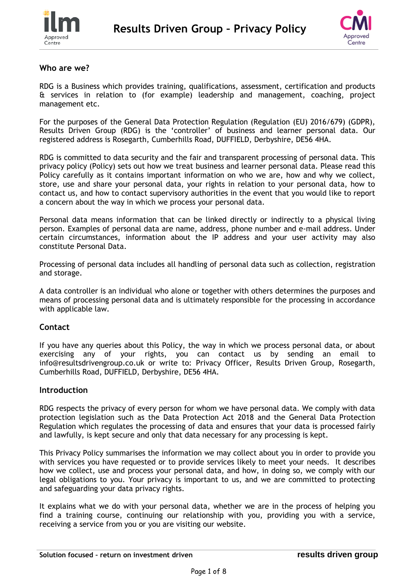



### **Who are we?**

RDG is a Business which provides training, qualifications, assessment, certification and products & services in relation to (for example) leadership and management, coaching, project management etc.

For the purposes of the General Data Protection Regulation (Regulation (EU) 2016/679) (GDPR), Results Driven Group (RDG) is the 'controller' of business and learner personal data. Our registered address is Rosegarth, Cumberhills Road, DUFFIELD, Derbyshire, DE56 4HA.

RDG is committed to data security and the fair and transparent processing of personal data. This privacy policy (Policy) sets out how we treat business and learner personal data. Please read this Policy carefully as it contains important information on who we are, how and why we collect, store, use and share your personal data, your rights in relation to your personal data, how to contact us, and how to contact supervisory authorities in the event that you would like to report a concern about the way in which we process your personal data.

Personal data means information that can be linked directly or indirectly to a physical living person. Examples of personal data are name, address, phone number and e-mail address. Under certain circumstances, information about the IP address and your user activity may also constitute Personal Data.

Processing of personal data includes all handling of personal data such as collection, registration and storage.

A data controller is an individual who alone or together with others determines the purposes and means of processing personal data and is ultimately responsible for the processing in accordance with applicable law.

#### **Contact**

If you have any queries about this Policy, the way in which we process personal data, or about exercising any of your rights, you can contact us by sending an email to info@resultsdrivengroup.co.uk or write to: Privacy Officer, Results Driven Group, Rosegarth, Cumberhills Road, DUFFIELD, Derbyshire, DE56 4HA.

#### **Introduction**

RDG respects the privacy of every person for whom we have personal data. We comply with data protection legislation such as the Data Protection Act 2018 and the General Data Protection Regulation which regulates the processing of data and ensures that your data is processed fairly and lawfully, is kept secure and only that data necessary for any processing is kept.

This Privacy Policy summarises the information we may collect about you in order to provide you with services you have requested or to provide services likely to meet your needs. It describes how we collect, use and process your personal data, and how, in doing so, we comply with our legal obligations to you. Your privacy is important to us, and we are committed to protecting and safeguarding your data privacy rights.

It explains what we do with your personal data, whether we are in the process of helping you find a training course, continuing our relationship with you, providing you with a service, receiving a service from you or you are visiting our website.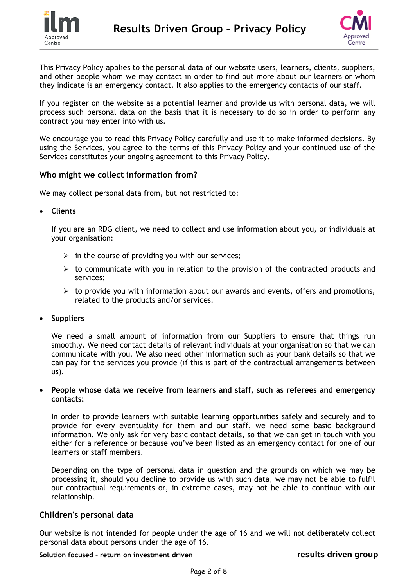



This Privacy Policy applies to the personal data of our website users, learners, clients, suppliers, and other people whom we may contact in order to find out more about our learners or whom they indicate is an emergency contact. It also applies to the emergency contacts of our staff.

If you register on the website as a potential learner and provide us with personal data, we will process such personal data on the basis that it is necessary to do so in order to perform any contract you may enter into with us.

We encourage you to read this Privacy Policy carefully and use it to make informed decisions. By using the Services, you agree to the terms of this Privacy Policy and your continued use of the Services constitutes your ongoing agreement to this Privacy Policy.

### **Who might we collect information from?**

We may collect personal data from, but not restricted to:

**Clients** 

If you are an RDG client, we need to collect and use information about you, or individuals at your organisation:

- $\triangleright$  in the course of providing you with our services;
- $\triangleright$  to communicate with you in relation to the provision of the contracted products and services;
- $\triangleright$  to provide you with information about our awards and events, offers and promotions, related to the products and/or services.
- **Suppliers**

We need a small amount of information from our Suppliers to ensure that things run smoothly. We need contact details of relevant individuals at your organisation so that we can communicate with you. We also need other information such as your bank details so that we can pay for the services you provide (if this is part of the contractual arrangements between us).

#### **People whose data we receive from learners and staff, such as referees and emergency contacts:**

In order to provide learners with suitable learning opportunities safely and securely and to provide for every eventuality for them and our staff, we need some basic background information. We only ask for very basic contact details, so that we can get in touch with you either for a reference or because you've been listed as an emergency contact for one of our learners or staff members.

Depending on the type of personal data in question and the grounds on which we may be processing it, should you decline to provide us with such data, we may not be able to fulfil our contractual requirements or, in extreme cases, may not be able to continue with our relationship.

#### **Children's personal data**

Our website is not intended for people under the age of 16 and we will not deliberately collect personal data about persons under the age of 16.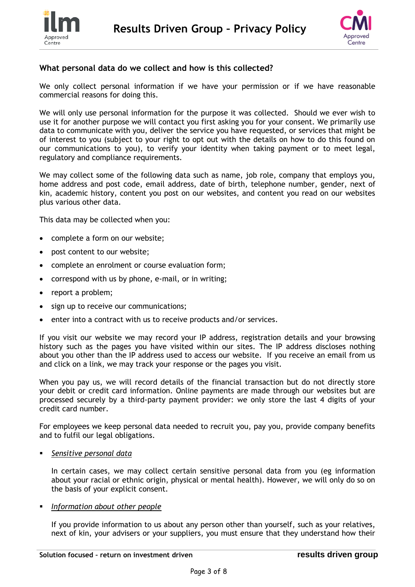



## **What personal data do we collect and how is this collected?**

We only collect personal information if we have your permission or if we have reasonable commercial reasons for doing this.

We will only use personal information for the purpose it was collected. Should we ever wish to use it for another purpose we will contact you first asking you for your consent. We primarily use data to communicate with you, deliver the service you have requested, or services that might be of interest to you (subject to your right to opt out with the details on how to do this found on our communications to you), to verify your identity when taking payment or to meet legal, regulatory and compliance requirements.

We may collect some of the following data such as name, job role, company that employs you, home address and post code, email address, date of birth, telephone number, gender, next of kin, academic history, content you post on our websites, and content you read on our websites plus various other data.

This data may be collected when you:

- complete a form on our website;
- post content to our website;
- complete an enrolment or course evaluation form;
- correspond with us by phone, e-mail, or in writing;
- report a problem;
- sign up to receive our communications;
- enter into a contract with us to receive products and/or services.

If you visit our website we may record your IP address, registration details and your browsing history such as the pages you have visited within our sites. The IP address discloses nothing about you other than the IP address used to access our website. If you receive an email from us and click on a link, we may track your response or the pages you visit.

When you pay us, we will record details of the financial transaction but do not directly store your debit or credit card information. Online payments are made through our websites but are processed securely by a third-party payment provider: we only store the last 4 digits of your credit card number.

For employees we keep personal data needed to recruit you, pay you, provide company benefits and to fulfil our legal obligations.

*Sensitive personal data*

In certain cases, we may collect certain sensitive personal data from you (eg information about your racial or ethnic origin, physical or mental health). However, we will only do so on the basis of your explicit consent.

#### *Information about other people*

If you provide information to us about any person other than yourself, such as your relatives, next of kin, your advisers or your suppliers, you must ensure that they understand how their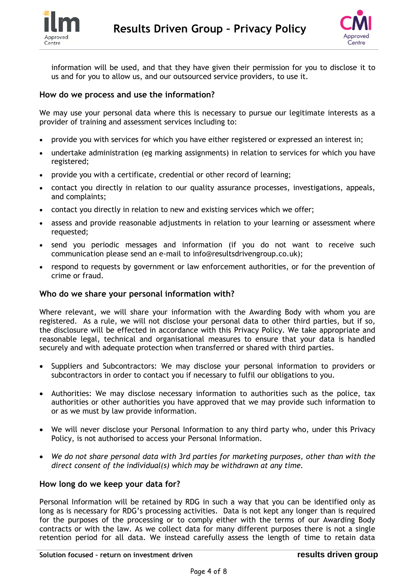



information will be used, and that they have given their permission for you to disclose it to us and for you to allow us, and our outsourced service providers, to use it.

### **How do we process and use the information?**

We may use your personal data where this is necessary to pursue our legitimate interests as a provider of training and assessment services including to:

- provide you with services for which you have either registered or expressed an interest in;
- undertake administration (eg marking assignments) in relation to services for which you have registered;
- provide you with a certificate, credential or other record of learning;
- contact you directly in relation to our quality assurance processes, investigations, appeals, and complaints;
- contact you directly in relation to new and existing services which we offer;
- assess and provide reasonable adjustments in relation to your learning or assessment where requested;
- send you periodic messages and information (if you do not want to receive such communication please send an e-mail to info@resultsdrivengroup.co.uk);
- respond to requests by government or law enforcement authorities, or for the prevention of crime or fraud.

### **Who do we share your personal information with?**

Where relevant, we will share your information with the Awarding Body with whom you are registered. As a rule, we will not disclose your personal data to other third parties, but if so, the disclosure will be effected in accordance with this Privacy Policy. We take appropriate and reasonable legal, technical and organisational measures to ensure that your data is handled securely and with adequate protection when transferred or shared with third parties.

- Suppliers and Subcontractors: We may disclose your personal information to providers or subcontractors in order to contact you if necessary to fulfil our obligations to you.
- Authorities: We may disclose necessary information to authorities such as the police, tax authorities or other authorities you have approved that we may provide such information to or as we must by law provide information.
- We will never disclose your Personal Information to any third party who, under this Privacy Policy, is not authorised to access your Personal Information.
- *We do not share personal data with 3rd parties for marketing purposes, other than with the direct consent of the individual(s) which may be withdrawn at any time.*

### **How long do we keep your data for?**

Personal Information will be retained by RDG in such a way that you can be identified only as long as is necessary for RDG's processing activities. Data is not kept any longer than is required for the purposes of the processing or to comply either with the terms of our Awarding Body contracts or with the law. As we collect data for many different purposes there is not a single retention period for all data. We instead carefully assess the length of time to retain data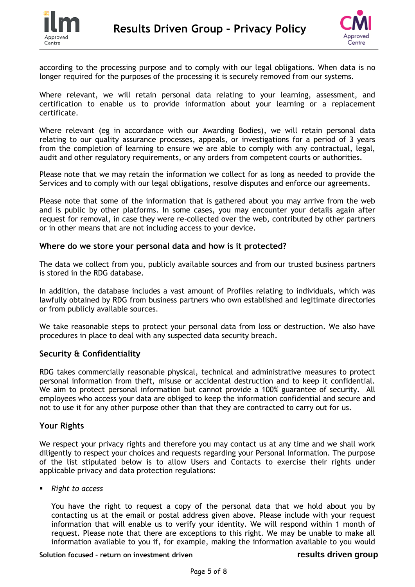



according to the processing purpose and to comply with our legal obligations. When data is no longer required for the purposes of the processing it is securely removed from our systems.

Where relevant, we will retain personal data relating to your learning, assessment, and certification to enable us to provide information about your learning or a replacement certificate.

Where relevant (eg in accordance with our Awarding Bodies), we will retain personal data relating to our quality assurance processes, appeals, or investigations for a period of 3 years from the completion of learning to ensure we are able to comply with any contractual, legal, audit and other regulatory requirements, or any orders from competent courts or authorities.

Please note that we may retain the information we collect for as long as needed to provide the Services and to comply with our legal obligations, resolve disputes and enforce our agreements.

Please note that some of the information that is gathered about you may arrive from the web and is public by other platforms. In some cases, you may encounter your details again after request for removal, in case they were re-collected over the web, contributed by other partners or in other means that are not including access to your device.

#### **Where do we store your personal data and how is it protected?**

The data we collect from you, publicly available sources and from our trusted business partners is stored in the RDG database.

In addition, the database includes a vast amount of Profiles relating to individuals, which was lawfully obtained by RDG from business partners who own established and legitimate directories or from publicly available sources.

We take reasonable steps to protect your personal data from loss or destruction. We also have procedures in place to deal with any suspected data security breach.

## **Security & Confidentiality**

RDG takes commercially reasonable physical, technical and administrative measures to protect personal information from theft, misuse or accidental destruction and to keep it confidential. We aim to protect personal information but cannot provide a 100% guarantee of security. All employees who access your data are obliged to keep the information confidential and secure and not to use it for any other purpose other than that they are contracted to carry out for us.

## **Your Rights**

We respect your privacy rights and therefore you may contact us at any time and we shall work diligently to respect your choices and requests regarding your Personal Information. The purpose of the list stipulated below is to allow Users and Contacts to exercise their rights under applicable privacy and data protection regulations:

*Right to access*

You have the right to request a copy of the personal data that we hold about you by contacting us at the email or postal address given above. Please include with your request information that will enable us to verify your identity. We will respond within 1 month of request. Please note that there are exceptions to this right. We may be unable to make all information available to you if, for example, making the information available to you would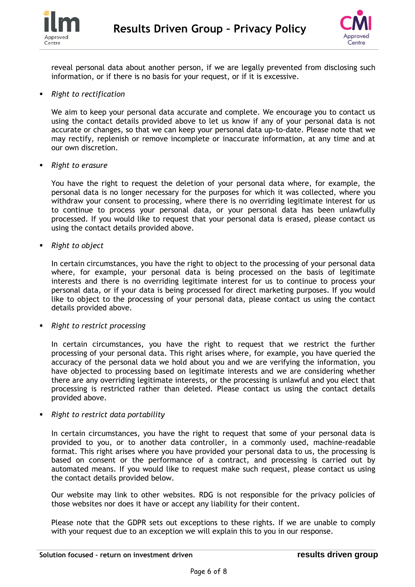



reveal personal data about another person, if we are legally prevented from disclosing such information, or if there is no basis for your request, or if it is excessive.

#### *Right to rectification*

We aim to keep your personal data accurate and complete. We encourage you to contact us using the contact details provided above to let us know if any of your personal data is not accurate or changes, so that we can keep your personal data up-to-date. Please note that we may rectify, replenish or remove incomplete or inaccurate information, at any time and at our own discretion.

*Right to erasure*

You have the right to request the deletion of your personal data where, for example, the personal data is no longer necessary for the purposes for which it was collected, where you withdraw your consent to processing, where there is no overriding legitimate interest for us to continue to process your personal data, or your personal data has been unlawfully processed. If you would like to request that your personal data is erased, please contact us using the contact details provided above.

*Right to object*

In certain circumstances, you have the right to object to the processing of your personal data where, for example, your personal data is being processed on the basis of legitimate interests and there is no overriding legitimate interest for us to continue to process your personal data, or if your data is being processed for direct marketing purposes. If you would like to object to the processing of your personal data, please contact us using the contact details provided above.

*Right to restrict processing*

In certain circumstances, you have the right to request that we restrict the further processing of your personal data. This right arises where, for example, you have queried the accuracy of the personal data we hold about you and we are verifying the information, you have objected to processing based on legitimate interests and we are considering whether there are any overriding legitimate interests, or the processing is unlawful and you elect that processing is restricted rather than deleted. Please contact us using the contact details provided above.

*Right to restrict data portability*

In certain circumstances, you have the right to request that some of your personal data is provided to you, or to another data controller, in a commonly used, machine-readable format. This right arises where you have provided your personal data to us, the processing is based on consent or the performance of a contract, and processing is carried out by automated means. If you would like to request make such request, please contact us using the contact details provided below.

Our website may link to other websites. RDG is not responsible for the privacy policies of those websites nor does it have or accept any liability for their content.

Please note that the GDPR sets out exceptions to these rights. If we are unable to comply with your request due to an exception we will explain this to you in our response.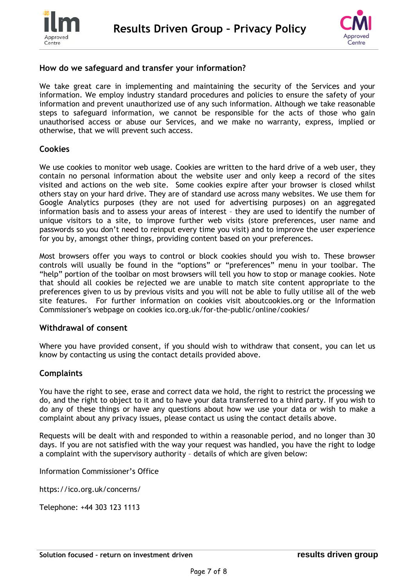



## **How do we safeguard and transfer your information?**

We take great care in implementing and maintaining the security of the Services and your information. We employ industry standard procedures and policies to ensure the safety of your information and prevent unauthorized use of any such information. Although we take reasonable steps to safeguard information, we cannot be responsible for the acts of those who gain unauthorised access or abuse our Services, and we make no warranty, express, implied or otherwise, that we will prevent such access.

#### **Cookies**

We use cookies to monitor web usage. Cookies are written to the hard drive of a web user, they contain no personal information about the website user and only keep a record of the sites visited and actions on the web site. Some cookies expire after your browser is closed whilst others stay on your hard drive. They are of standard use across many websites. We use them for Google Analytics purposes (they are not used for advertising purposes) on an aggregated information basis and to assess your areas of interest – they are used to identify the number of unique visitors to a site, to improve further web visits (store preferences, user name and passwords so you don't need to reinput every time you visit) and to improve the user experience for you by, amongst other things, providing content based on your preferences.

Most browsers offer you ways to control or block cookies should you wish to. These browser controls will usually be found in the "options" or "preferences" menu in your toolbar. The "help" portion of the toolbar on most browsers will tell you how to stop or manage cookies. Note that should all cookies be rejected we are unable to match site content appropriate to the preferences given to us by previous visits and you will not be able to fully utilise all of the web site features. For further information on cookies visit aboutcookies.org or the Information Commissioner's webpage on cookies ico.org.uk/for-the-public/online/cookies/

#### **Withdrawal of consent**

Where you have provided consent, if you should wish to withdraw that consent, you can let us know by contacting us using the contact details provided above.

## **Complaints**

You have the right to see, erase and correct data we hold, the right to restrict the processing we do, and the right to object to it and to have your data transferred to a third party. If you wish to do any of these things or have any questions about how we use your data or wish to make a complaint about any privacy issues, please contact us using the contact details above.

Requests will be dealt with and responded to within a reasonable period, and no longer than 30 days. If you are not satisfied with the way your request was handled, you have the right to lodge a complaint with the supervisory authority – details of which are given below:

Information Commissioner's Office

https://ico.org.uk/concerns/

Telephone: +44 303 123 1113